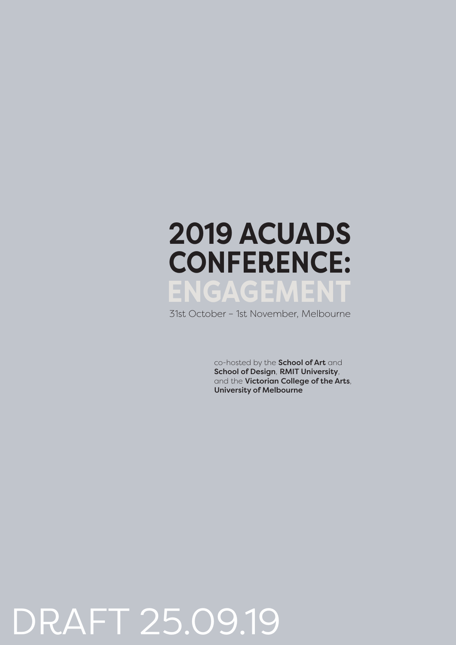## **ENGAGEMENT 2019 ACUADS CONFERENCE:**

31st October – 1st November, Melbourne

co-hosted by the **School of Art** and School of Design, RMIT University, and the Victorian College of the Arts, University of Melbourne

## DRAFT 25.09.19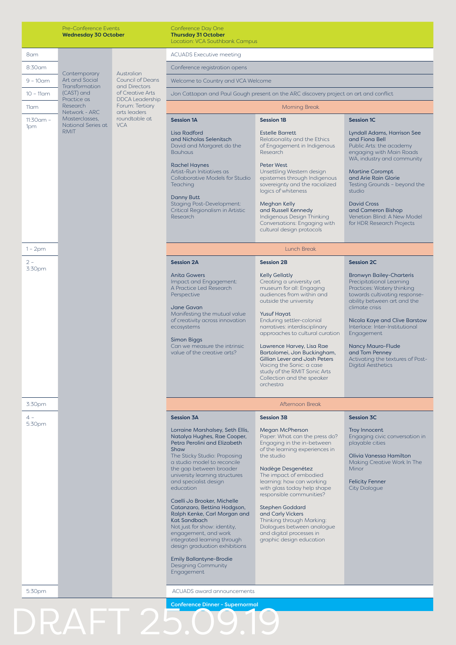|                 | Pre-Conference Events<br><b>Wednesday 30 October</b>       |                                                                                                                                                          | Conference Day One<br><b>Thursday 31 October</b><br>Location: VCA Southbank Campus                                                                                                                                                                                                                                                                                                                                                                                                                                                                |                                                                                                                                                                                                                                                                                                                                                                                                                                         |                                                                                                                                                                                                                                                                                                                                         |
|-----------------|------------------------------------------------------------|----------------------------------------------------------------------------------------------------------------------------------------------------------|---------------------------------------------------------------------------------------------------------------------------------------------------------------------------------------------------------------------------------------------------------------------------------------------------------------------------------------------------------------------------------------------------------------------------------------------------------------------------------------------------------------------------------------------------|-----------------------------------------------------------------------------------------------------------------------------------------------------------------------------------------------------------------------------------------------------------------------------------------------------------------------------------------------------------------------------------------------------------------------------------------|-----------------------------------------------------------------------------------------------------------------------------------------------------------------------------------------------------------------------------------------------------------------------------------------------------------------------------------------|
| 8am             |                                                            |                                                                                                                                                          | <b>ACUADS Executive meeting</b>                                                                                                                                                                                                                                                                                                                                                                                                                                                                                                                   |                                                                                                                                                                                                                                                                                                                                                                                                                                         |                                                                                                                                                                                                                                                                                                                                         |
| 8:30am          |                                                            | Australian<br><b>Council of Deans</b><br>and Directors<br>of Creative Arts<br><b>DDCA Leadership</b><br>Forum: Tertiary<br>arts leaders<br>roundtable at | Conference registration opens                                                                                                                                                                                                                                                                                                                                                                                                                                                                                                                     |                                                                                                                                                                                                                                                                                                                                                                                                                                         |                                                                                                                                                                                                                                                                                                                                         |
| $9 - 10$ am     | Contemporary<br>Art and Social                             |                                                                                                                                                          | Welcome to Country and VCA Welcome                                                                                                                                                                                                                                                                                                                                                                                                                                                                                                                |                                                                                                                                                                                                                                                                                                                                                                                                                                         |                                                                                                                                                                                                                                                                                                                                         |
| $10 - 11$ am    | Transformation<br>(CAST) and                               |                                                                                                                                                          | Jon Cattapan and Paul Gough present on the ARC discovery project on art and conflict                                                                                                                                                                                                                                                                                                                                                                                                                                                              |                                                                                                                                                                                                                                                                                                                                                                                                                                         |                                                                                                                                                                                                                                                                                                                                         |
| $11$ am         | Practice as<br>Research<br>Network - ARC<br>Masterclasses. |                                                                                                                                                          | <b>Morning Break</b>                                                                                                                                                                                                                                                                                                                                                                                                                                                                                                                              |                                                                                                                                                                                                                                                                                                                                                                                                                                         |                                                                                                                                                                                                                                                                                                                                         |
| $11:30$ am -    |                                                            |                                                                                                                                                          | <b>Session 1A</b>                                                                                                                                                                                                                                                                                                                                                                                                                                                                                                                                 | <b>Session 1B</b>                                                                                                                                                                                                                                                                                                                                                                                                                       | <b>Session 1C</b>                                                                                                                                                                                                                                                                                                                       |
| 1pm             | National Series at<br><b>RMIT</b>                          | <b>VCA</b>                                                                                                                                               | Lisa Radford<br>and Nicholas Selenitsch<br>David and Margaret do the<br><b>Bauhaus</b><br><b>Rachel Haynes</b><br>Artist-Run Initiatives as<br>Collaborative Models for Studio<br><b>Teaching</b><br>Danny Butt<br>Staging Post-Development:<br>Critical Regionalism in Artistic<br><b>Research</b>                                                                                                                                                                                                                                               | <b>Estelle Barrett</b><br>Relationality and the Ethics<br>of Engagement in Indigenous<br>Research<br><b>Peter West</b><br>Unsettling Western design<br>epistemes through Indigenous<br>sovereignty and the racialized<br>logics of whiteness<br>Meghan Kelly<br>and Russell Kennedy<br>Indigenous Design Thinking<br>Conversations: Engaging with                                                                                       | Lyndall Adams, Harrison See<br>and Fiona Bell<br>Public Arts: the academy<br>engaging with Main Roads<br>WA, industry and community<br><b>Martine Corompt</b><br>and Arie Rain Glorie<br>Testing Grounds - beyond the<br>studio<br><b>David Cross</b><br>and Cameron Bishop<br>Venetian Blind: A New Model<br>for HDR Research Projects |
| $1 - 2pm$       |                                                            |                                                                                                                                                          |                                                                                                                                                                                                                                                                                                                                                                                                                                                                                                                                                   | cultural design protocols<br>Lunch Break                                                                                                                                                                                                                                                                                                                                                                                                |                                                                                                                                                                                                                                                                                                                                         |
| $2 -$           |                                                            |                                                                                                                                                          | <b>Session 2A</b>                                                                                                                                                                                                                                                                                                                                                                                                                                                                                                                                 | <b>Session 2B</b>                                                                                                                                                                                                                                                                                                                                                                                                                       | <b>Session 2C</b>                                                                                                                                                                                                                                                                                                                       |
| 3:30pm          |                                                            |                                                                                                                                                          | <b>Anita Gowers</b><br>Impact and Engagement:<br>A Practice Led Research<br>Perspective<br>Jane Gavan<br>Manifesting the mutual value<br>of creativity across innovation<br>ecosystems<br>Simon Biggs                                                                                                                                                                                                                                                                                                                                             | <b>Kelly Gellatly</b><br>Creating a university art<br>museum for all: Engaging<br>audiences from within and<br>outside the university<br><b>Yusuf Hayat</b><br>Enduring settler-colonial<br>narratives: interdisciplinary<br>approaches to cultural curation                                                                                                                                                                            | <b>Bronwyn Bailey-Charteris</b><br>Precipitational Learning<br>Practices: Watery thinking<br>towards cultivating response-<br>ability between art and the<br>climate crisis<br>Nicola Kaye and Clive Barstow<br>Interlace: Inter-Institutional<br>Engagement                                                                            |
|                 |                                                            |                                                                                                                                                          | Can we measure the intrinsic<br>value of the creative arts?                                                                                                                                                                                                                                                                                                                                                                                                                                                                                       | Lawrence Harvey, Lisa Rae<br>Bartolomei, Jon Buckingham,<br>Gillian Lever and Josh Peters<br>Voicing the Sonic: a case<br>study of the RMIT Sonic Arts<br>Collection and the speaker<br>orchestra                                                                                                                                                                                                                                       | Nancy Mauro-Flude<br>and Tom Penney<br>Activating the textures of Post-<br><b>Digital Aesthetics</b>                                                                                                                                                                                                                                    |
| 3:30pm          |                                                            |                                                                                                                                                          |                                                                                                                                                                                                                                                                                                                                                                                                                                                                                                                                                   | Afternoon Break                                                                                                                                                                                                                                                                                                                                                                                                                         |                                                                                                                                                                                                                                                                                                                                         |
| $4 -$<br>5:30pm |                                                            |                                                                                                                                                          | <b>Session 3A</b>                                                                                                                                                                                                                                                                                                                                                                                                                                                                                                                                 | <b>Session 3B</b>                                                                                                                                                                                                                                                                                                                                                                                                                       | <b>Session 3C</b>                                                                                                                                                                                                                                                                                                                       |
|                 |                                                            |                                                                                                                                                          | Lorraine Marshalsey, Seth Ellis,<br>Natalya Hughes, Rae Cooper,<br>Petra Perolini and Elizabeth<br>Shaw<br>The Sticky Studio: Proposing<br>a studio model to reconcile<br>the gap between broader<br>university learning structures<br>and specialist design<br>education<br>Caelli Jo Brooker, Michelle<br>Catanzaro, Bettina Hodgson,<br>Ralph Kenke, Carl Morgan and<br>Kat Sandbach<br>Not just for show: identity,<br>engagement, and work<br>integrated learning through<br>design graduation exhibitions<br><b>Emily Ballantyne-Brodie</b> | Megan McPherson<br>Paper: What can the press do?<br>Engaging in the in-between<br>of the learning experiences in<br>the studio<br>Nadège Desgenétez<br>The impact of embodied<br>learning: how can working<br>with glass today help shape<br>responsible communities?<br><b>Stephen Goddard</b><br>and Carly Vickers<br>Thinking through Marking:<br>Dialogues between analogue<br>and digital processes in<br>graphic design education | Troy Innocent<br>Engaging civic conversation in<br>playable cities<br>Olivia Vanessa Hamilton<br>Making Creative Work In The<br>Minor<br><b>Felicity Fenner</b><br><b>City Dialogue</b>                                                                                                                                                 |
|                 |                                                            |                                                                                                                                                          | <b>Designing Community</b><br>Engagement                                                                                                                                                                                                                                                                                                                                                                                                                                                                                                          |                                                                                                                                                                                                                                                                                                                                                                                                                                         |                                                                                                                                                                                                                                                                                                                                         |
| 5:30pm          |                                                            |                                                                                                                                                          | <b>ACUADS</b> award announcements                                                                                                                                                                                                                                                                                                                                                                                                                                                                                                                 |                                                                                                                                                                                                                                                                                                                                                                                                                                         |                                                                                                                                                                                                                                                                                                                                         |
|                 |                                                            |                                                                                                                                                          | <b>Conference Dinner - Supernormal</b>                                                                                                                                                                                                                                                                                                                                                                                                                                                                                                            |                                                                                                                                                                                                                                                                                                                                                                                                                                         |                                                                                                                                                                                                                                                                                                                                         |